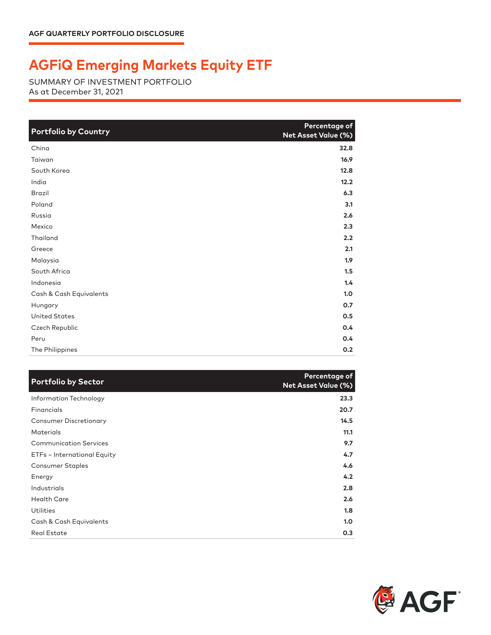## **AGFiQ Emerging Markets Equity ETF**

SUMMARY OF INVESTMENT PORTFOLIO As at December 31, 2021

| <b>Portfolio by Country</b> | Percentage of<br>Net Asset Value (%) |
|-----------------------------|--------------------------------------|
| China                       | 32.8                                 |
| Taiwan                      | 16.9                                 |
| South Korea                 | 12.8                                 |
| India                       | 12.2                                 |
| <b>Brazil</b>               | 6.3                                  |
| Poland                      | 3.1                                  |
| Russia                      | 2.6                                  |
| Mexico                      | 2.3                                  |
| Thailand                    | 2.2                                  |
| Greece                      | 2.1                                  |
| Malaysia                    | 1.9                                  |
| South Africa                | 1.5                                  |
| Indonesia                   | 1.4                                  |
| Cash & Cash Equivalents     | 1.0                                  |
| Hungary                     | 0.7                                  |
| <b>United States</b>        | 0.5                                  |
| Czech Republic              | 0.4                                  |
| Peru                        | 0.4                                  |
| The Philippines             | 0.2                                  |

| <b>Portfolio by Sector</b>    | Percentage of<br><b>Net Asset Value (%)</b> |
|-------------------------------|---------------------------------------------|
| Information Technology        | 23.3                                        |
| Financials                    | 20.7                                        |
| <b>Consumer Discretionary</b> | 14.5                                        |
| <b>Materials</b>              | 11.1                                        |
| <b>Communication Services</b> | 9.7                                         |
| ETFs - International Equity   | 4.7                                         |
| <b>Consumer Staples</b>       | 4.6                                         |
| Energy                        | 4.2                                         |
| Industrials                   | 2.8                                         |
| <b>Health Care</b>            | 2.6                                         |
| <b>Utilities</b>              | 1.8                                         |
| Cash & Cash Equivalents       | 1.0                                         |
| <b>Real Estate</b>            | 0.3                                         |